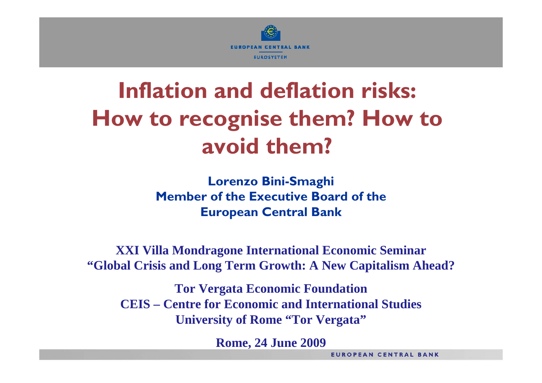

# **Inflation and deflation risks: How to recognise them? How to avoid them?**

**Lorenzo Bini-Smaghi Member of the Executive Board of theEuropean Central Bank**

**XXI Villa Mondragone International Economic Seminar "Global Crisis and Long Term Growth: A N ew Capitalism Ahead?**

**Tor Vergata Economic Foundation CEIS –Centre for Economic and International StudiesUniversity of Rome "Tor Vergata"**

**Rome, 24 June 2009**

**EUROPEAN CENTRAL BANK**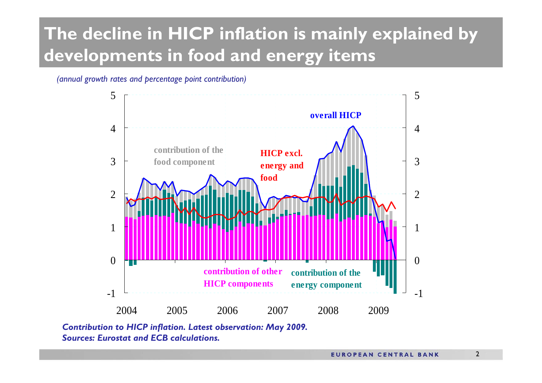# **The decline in HICP inflation is mainly explained by developments in food and energy items**

#### *(annual growth rates and percentage point contribution)*



*Contribu tion to HICP inflation. Latest observation: May 2009. Sources: Eurostat and ECB calculations.*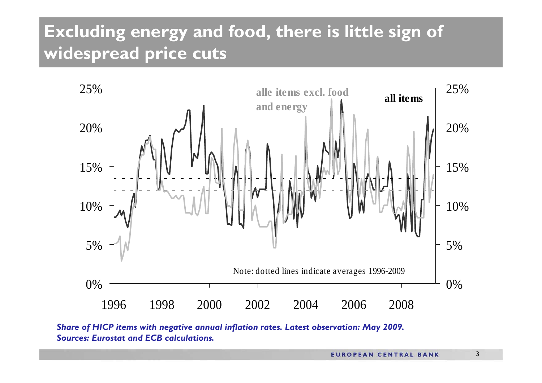### Excluding energy and food, there is little sign of widespread price cuts



Share of HICP items with negative annual inflation rates. Latest observation: May 2009. **Sources: Eurostat and ECB calculations.**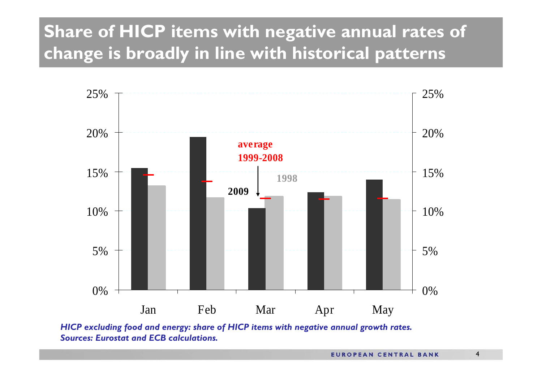# **Share of HICP items with negative annual rates of change is broadly in line with historical patterns**



*HICP e xcluding food and energy: share of HICP items with negative annual growth rates. Sources: Eurostat and ECB calculations.*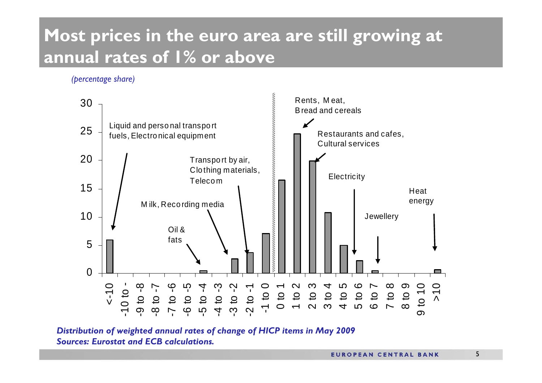### Most prices in the euro area are still growing at annual rates of I% or above

(percentage share)



Distribution of weighted annual rates of change of HICP items in May 2009 **Sources: Eurostat and ECB calculations.**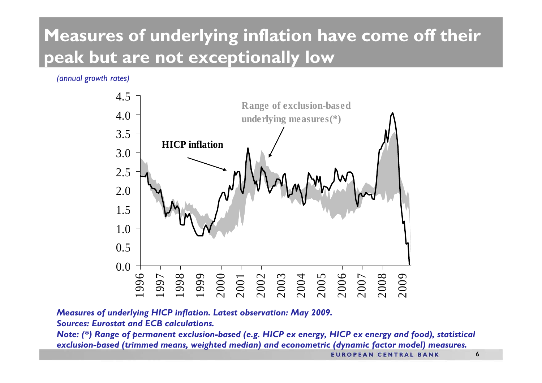# Measures of underlying inflation have come off their peak but are not exceptionally low

(annual growth rates)



Measures of underlying HICP inflation. Latest observation: May 2009.

**Sources: Eurostat and ECB calculations.** 

Note: (\*) Range of permanent exclusion-based (e.g. HICP ex energy, HICP ex energy and food), statistical exclusion-based (trimmed means, weighted median) and econometric (dynamic factor model) measures.

**EUROPEAN CENTRAL BANK**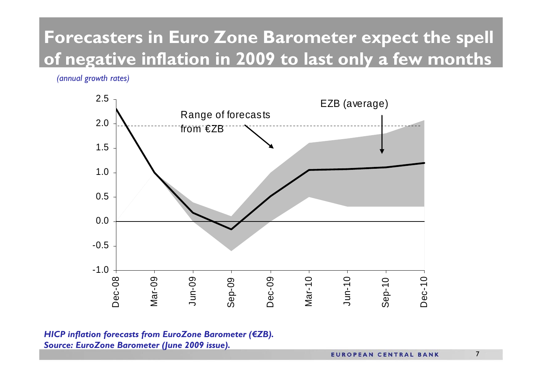### **Forecasters in Euro Zone Barometer expect the spell of negative inflation in 2009 to last only a few months**

*(annual growth rates)*



*HICP inflation forecasts from EuroZone Barometer (€ZB). Source: EuroZone Barometer (June 2009 issue).*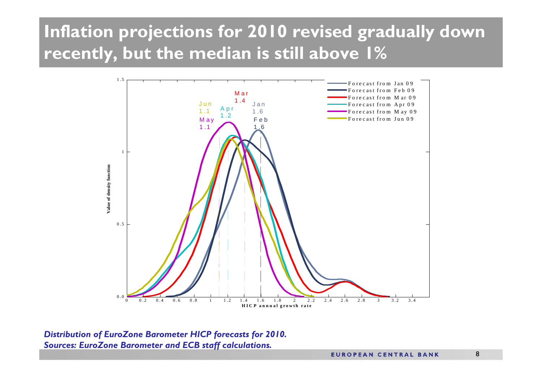### **Inflation projections for 2010 revised gradually down recently, but the median is still above 1%**



*Distribution of EuroZone Barometer HICP forecasts for 2010. Sources: EuroZone Barometer and ECB staff calculations.*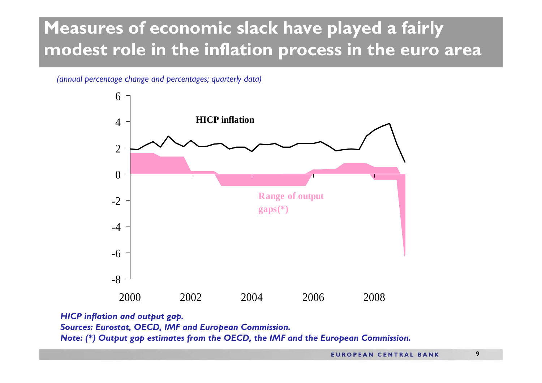#### **Measures of economic slack have played a fairly modest role in the inflation process in the euro area**

#### *(annual percentage change and percentages; quarterly data)*



*HICP inflation and output gap. Sources: Eurostat, OECD, IMF and European Commission. Note: (\*) Output gap estimates from the OECD, the IMF and the European Commission.*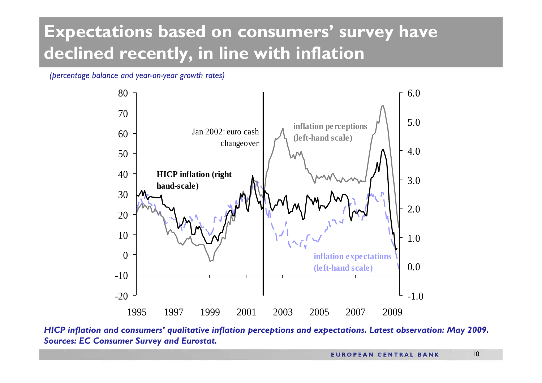# **Expectations based on consumers' survey have declined recently, in line with inflation**

*(percentage balance and year-on-year growth r ates)*



*HICP inflation and con sume rs' qualitative inflation perceptions and expecta tions. Latest o bservation: May 2009. Sources: EC Consumer Surve y and Eurostat.*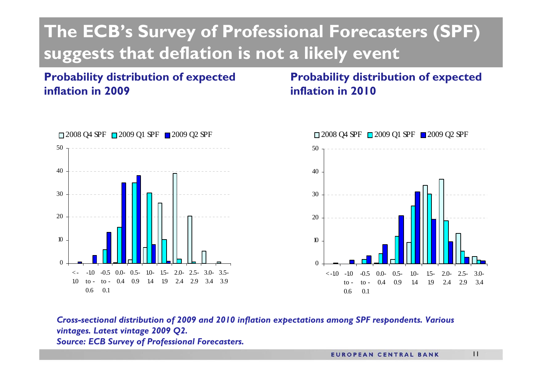### **The ECB's Survey of Professional Forecasters (SPF) suggests that deflation is not a likely event**

#### **Probability distribution of expected inflation in 2009**

**Probability distribution of expected inflation in 2010**





*Cross-sectional distribution of 2009 and 2010 inflation expectations among SPF respondents. Various vintages. Latest vintage 2009 Q2. Source: ECB Survey of Professional Forecasters.*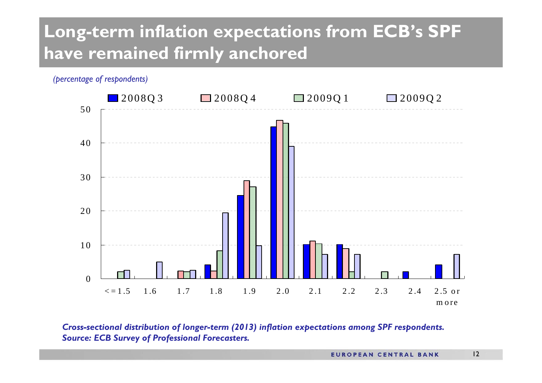### **Long-term inflation expectations from ECB's SPF have remained firmly anchored**



*Cro ss-sectional distribution of longer-term (2013) inflation e xpectations among SPF respondents. Source: E CB Surve y of Pro fessional Forecasters.*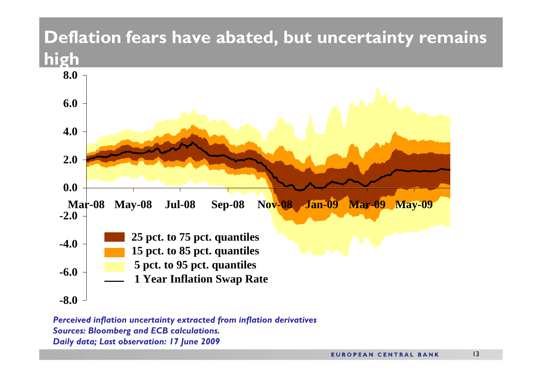#### **Deflation fears have abated, but uncertainty remains high**



*Perceived inflation uncertainty extracted from inflation derivatives Sources: Bloomberg and ECB calculations. Daily data; Last observation: 17 June 2009*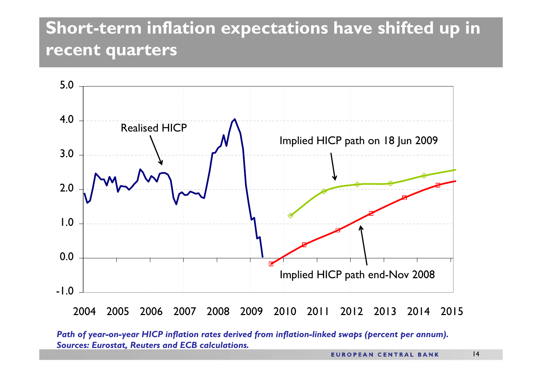#### **Short-term inflation expectations have shifted up in recent quarters**



*Path of y ear-on-year HICP inflation rates derived from inflation-linked swaps (percent per annum). Sources: Eurosta t, Reuters and ECB calculations.*

14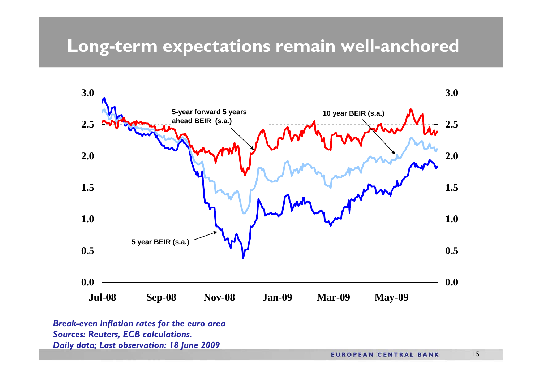#### **Long-term expectations remain well-anchored**



*Break-even inflation rates for the euro area Sources: Reuters, ECB calculations. Daily dat a; Last observation: 18 June 2009*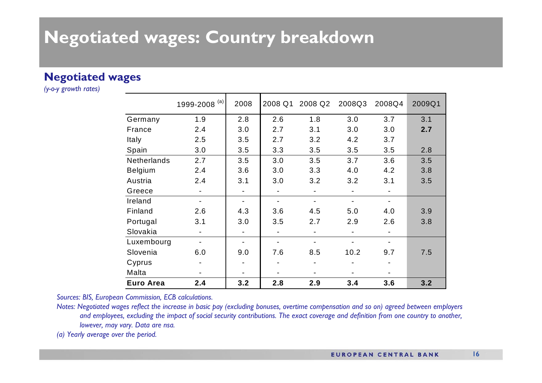#### Negotiated wages: Country breakdown

#### **Negotiated wages**

(y-o-y growth rates)

|                    | 1999-2008 <sup>(a)</sup> | 2008 | 2008 Q1 | 2008 Q2 | 2008Q3 | 2008Q4 | 2009Q1 |
|--------------------|--------------------------|------|---------|---------|--------|--------|--------|
| Germany            | 1.9                      | 2.8  | 2.6     | 1.8     | 3.0    | 3.7    | 3.1    |
| France             | 2.4                      | 3.0  | 2.7     | 3.1     | 3.0    | 3.0    | 2.7    |
| Italy              | 2.5                      | 3.5  | 2.7     | 3.2     | 4.2    | 3.7    |        |
| Spain              | 3.0                      | 3.5  | 3.3     | 3.5     | 3.5    | 3.5    | 2.8    |
| <b>Netherlands</b> | 2.7                      | 3.5  | 3.0     | 3.5     | 3.7    | 3.6    | 3.5    |
| <b>Belgium</b>     | 2.4                      | 3.6  | 3.0     | 3.3     | 4.0    | 4.2    | 3.8    |
| Austria            | 2.4                      | 3.1  | 3.0     | 3.2     | 3.2    | 3.1    | 3.5    |
| Greece             |                          |      |         |         |        |        |        |
| Ireland            |                          |      |         |         |        |        |        |
| Finland            | 2.6                      | 4.3  | 3.6     | 4.5     | 5.0    | 4.0    | 3.9    |
| Portugal           | 3.1                      | 3.0  | 3.5     | 2.7     | 2.9    | 2.6    | 3.8    |
| Slovakia           |                          |      |         | ۰       |        |        |        |
| Luxembourg         |                          |      |         |         |        |        |        |
| Slovenia           | 6.0                      | 9.0  | 7.6     | 8.5     | 10.2   | 9.7    | 7.5    |
| Cyprus             |                          |      |         |         |        |        |        |
| Malta              |                          |      |         |         |        |        |        |
| <b>Euro Area</b>   | 2.4                      | 3.2  | 2.8     | 2.9     | 3.4    | 3.6    | 3.2    |

Sources: BIS, European Commission, ECB calculations.

Notes: Negotiated wages reflect the increase in basic pay (excluding bonuses, overtime compensation and so on) agreed between employers and employees, excluding the impact of social security contributions. The exact coverage and definition from one country to another, lowever, may vary. Data are nsa.

(a) Yearly average over the period.